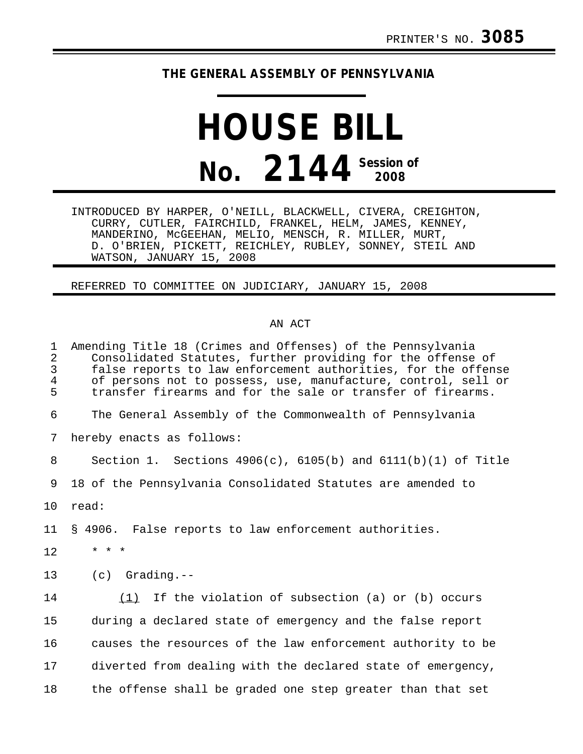## **THE GENERAL ASSEMBLY OF PENNSYLVANIA**

## **HOUSE BILL No. 2144 Session of 2008**

INTRODUCED BY HARPER, O'NEILL, BLACKWELL, CIVERA, CREIGHTON, CURRY, CUTLER, FAIRCHILD, FRANKEL, HELM, JAMES, KENNEY, MANDERINO, McGEEHAN, MELIO, MENSCH, R. MILLER, MURT, D. O'BRIEN, PICKETT, REICHLEY, RUBLEY, SONNEY, STEIL AND WATSON, JANUARY 15, 2008

REFERRED TO COMMITTEE ON JUDICIARY, JANUARY 15, 2008

## AN ACT

1 Amending Title 18 (Crimes and Offenses) of the Pennsylvania 2 Consolidated Statutes, further providing for the offense of 3 false reports to law enforcement authorities, for the offense<br>4 of persons not to possess, use, manufacture, control, sell or 4 of persons not to possess, use, manufacture, control, sell or<br>5 transfer firearms and for the sale or transfer of firearms. transfer firearms and for the sale or transfer of firearms. 6 The General Assembly of the Commonwealth of Pennsylvania 7 hereby enacts as follows: 8 Section 1. Sections 4906(c), 6105(b) and 6111(b)(1) of Title 9 18 of the Pennsylvania Consolidated Statutes are amended to 10 read: 11 § 4906. False reports to law enforcement authorities.  $12 + * * * *$ 13 (c) Grading.-- 14 (1) If the violation of subsection (a) or (b) occurs 15 during a declared state of emergency and the false report 16 causes the resources of the law enforcement authority to be 17 diverted from dealing with the declared state of emergency, 18 the offense shall be graded one step greater than that set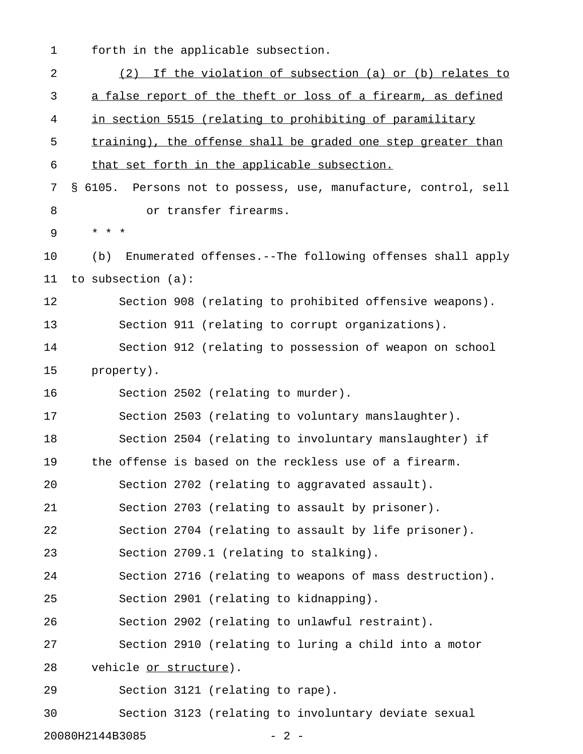1 forth in the applicable subsection.

| 2              | (2) If the violation of subsection (a) or (b) relates to        |
|----------------|-----------------------------------------------------------------|
| 3              | a false report of the theft or loss of a firearm, as defined    |
| $\overline{4}$ | in section 5515 (relating to prohibiting of paramilitary        |
| 5              | training), the offense shall be graded one step greater than    |
| 6              | that set forth in the applicable subsection.                    |
| 7              | § 6105. Persons not to possess, use, manufacture, control, sell |
| 8              | or transfer firearms.                                           |
| 9              | * * *                                                           |
| 10             | Enumerated offenses.--The following offenses shall apply<br>(b) |
| 11             | to subsection (a):                                              |
| 12             | Section 908 (relating to prohibited offensive weapons).         |
| 13             | Section 911 (relating to corrupt organizations).                |
| 14             | Section 912 (relating to possession of weapon on school         |
| 15             | property).                                                      |
| 16             | Section 2502 (relating to murder).                              |
| 17             | Section 2503 (relating to voluntary manslaughter).              |
| 18             | Section 2504 (relating to involuntary manslaughter) if          |
| 19             | the offense is based on the reckless use of a firearm.          |
| 20             | Section 2702 (relating to aggravated assault).                  |
| 21             | Section 2703 (relating to assault by prisoner).                 |
| 22             | Section 2704 (relating to assault by life prisoner).            |
| 23             | Section 2709.1 (relating to stalking).                          |
| 24             | Section 2716 (relating to weapons of mass destruction).         |
| 25             | Section 2901 (relating to kidnapping).                          |
| 26             | Section 2902 (relating to unlawful restraint).                  |
| 27             | Section 2910 (relating to luring a child into a motor           |
| 28             | vehicle or structure).                                          |
| 29             | Section 3121 (relating to rape).                                |
| 30             | Section 3123 (relating to involuntary deviate sexual            |
|                | 20080H2144B3085<br>$2 -$                                        |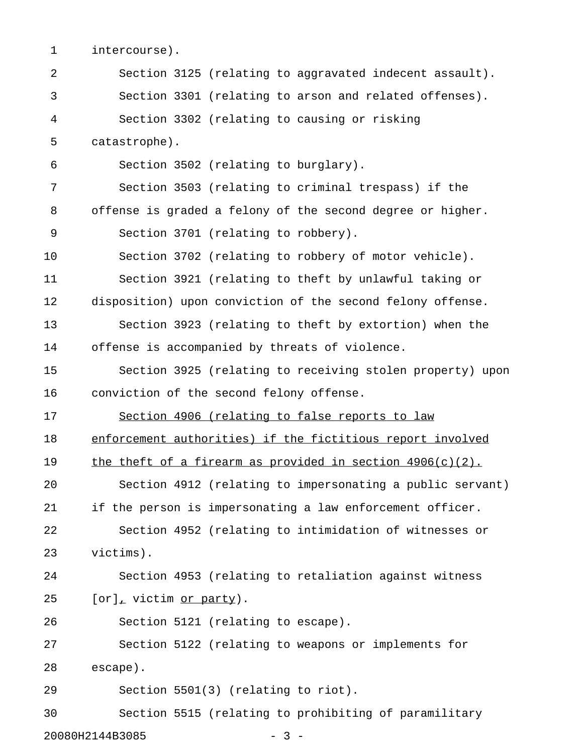1 intercourse).

| 2  | Section 3125 (relating to aggravated indecent assault).      |
|----|--------------------------------------------------------------|
| 3  | Section 3301 (relating to arson and related offenses).       |
| 4  | Section 3302 (relating to causing or risking                 |
| 5  | catastrophe).                                                |
| 6  | Section 3502 (relating to burglary).                         |
| 7  | Section 3503 (relating to criminal trespass) if the          |
| 8  | offense is graded a felony of the second degree or higher.   |
| 9  | Section 3701 (relating to robbery).                          |
| 10 | Section 3702 (relating to robbery of motor vehicle).         |
| 11 | Section 3921 (relating to theft by unlawful taking or        |
| 12 | disposition) upon conviction of the second felony offense.   |
| 13 | Section 3923 (relating to theft by extortion) when the       |
| 14 | offense is accompanied by threats of violence.               |
| 15 | Section 3925 (relating to receiving stolen property) upon    |
| 16 | conviction of the second felony offense.                     |
| 17 | Section 4906 (relating to false reports to law               |
| 18 | enforcement authorities) if the fictitious report involved   |
| 19 | the theft of a firearm as provided in section $4906(c)(2)$ . |
| 20 | Section 4912 (relating to impersonating a public servant)    |
| 21 | if the person is impersonating a law enforcement officer.    |
| 22 | Section 4952 (relating to intimidation of witnesses or       |
| 23 | victims).                                                    |
| 24 | Section 4953 (relating to retaliation against witness        |
| 25 | [or], victim or party).                                      |
| 26 | Section 5121 (relating to escape).                           |
| 27 | Section 5122 (relating to weapons or implements for          |
| 28 | escape).                                                     |
| 29 | Section 5501(3) (relating to riot).                          |
| 30 | Section 5515 (relating to prohibiting of paramilitary        |
|    | 20080H2144B3085<br>$-3 -$                                    |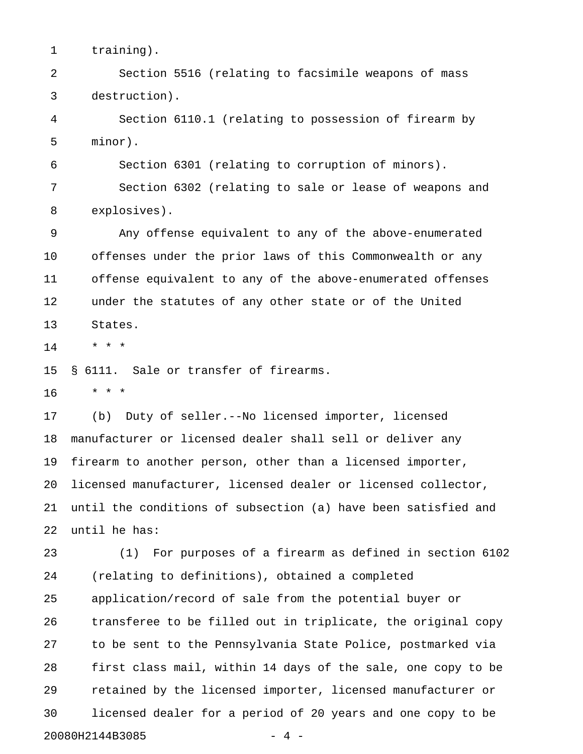1 training).

2 Section 5516 (relating to facsimile weapons of mass 3 destruction).

4 Section 6110.1 (relating to possession of firearm by 5 minor).

6 Section 6301 (relating to corruption of minors).

7 Section 6302 (relating to sale or lease of weapons and 8 explosives).

9 Any offense equivalent to any of the above-enumerated 10 offenses under the prior laws of this Commonwealth or any 11 offense equivalent to any of the above-enumerated offenses 12 under the statutes of any other state or of the United 13 States.

14 \* \* \*

15 § 6111. Sale or transfer of firearms.

16 \* \* \*

17 (b) Duty of seller.--No licensed importer, licensed 18 manufacturer or licensed dealer shall sell or deliver any 19 firearm to another person, other than a licensed importer, 20 licensed manufacturer, licensed dealer or licensed collector, 21 until the conditions of subsection (a) have been satisfied and 22 until he has:

23 (1) For purposes of a firearm as defined in section 6102 24 (relating to definitions), obtained a completed 25 application/record of sale from the potential buyer or 26 transferee to be filled out in triplicate, the original copy 27 to be sent to the Pennsylvania State Police, postmarked via 28 first class mail, within 14 days of the sale, one copy to be 29 retained by the licensed importer, licensed manufacturer or 30 licensed dealer for a period of 20 years and one copy to be 20080H2144B3085 - 4 -